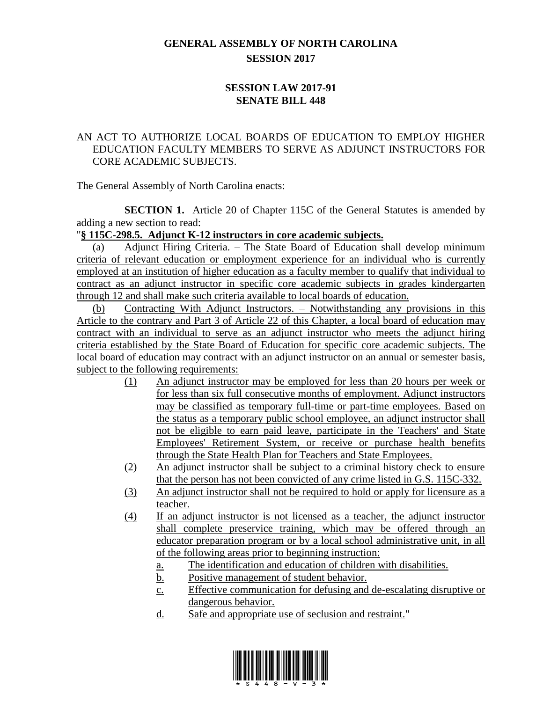## **GENERAL ASSEMBLY OF NORTH CAROLINA SESSION 2017**

## **SESSION LAW 2017-91 SENATE BILL 448**

## AN ACT TO AUTHORIZE LOCAL BOARDS OF EDUCATION TO EMPLOY HIGHER EDUCATION FACULTY MEMBERS TO SERVE AS ADJUNCT INSTRUCTORS FOR CORE ACADEMIC SUBJECTS.

The General Assembly of North Carolina enacts:

**SECTION 1.** Article 20 of Chapter 115C of the General Statutes is amended by adding a new section to read:

## "**§ 115C-298.5. Adjunct K-12 instructors in core academic subjects.**

(a) Adjunct Hiring Criteria. – The State Board of Education shall develop minimum criteria of relevant education or employment experience for an individual who is currently employed at an institution of higher education as a faculty member to qualify that individual to contract as an adjunct instructor in specific core academic subjects in grades kindergarten through 12 and shall make such criteria available to local boards of education.

(b) Contracting With Adjunct Instructors. – Notwithstanding any provisions in this Article to the contrary and Part 3 of Article 22 of this Chapter, a local board of education may contract with an individual to serve as an adjunct instructor who meets the adjunct hiring criteria established by the State Board of Education for specific core academic subjects. The local board of education may contract with an adjunct instructor on an annual or semester basis, subject to the following requirements:

- (1) An adjunct instructor may be employed for less than 20 hours per week or for less than six full consecutive months of employment. Adjunct instructors may be classified as temporary full-time or part-time employees. Based on the status as a temporary public school employee, an adjunct instructor shall not be eligible to earn paid leave, participate in the Teachers' and State Employees' Retirement System, or receive or purchase health benefits through the State Health Plan for Teachers and State Employees.
- (2) An adjunct instructor shall be subject to a criminal history check to ensure that the person has not been convicted of any crime listed in G.S. 115C-332.
- (3) An adjunct instructor shall not be required to hold or apply for licensure as a teacher.
- (4) If an adjunct instructor is not licensed as a teacher, the adjunct instructor shall complete preservice training, which may be offered through an educator preparation program or by a local school administrative unit, in all of the following areas prior to beginning instruction:
	- a. The identification and education of children with disabilities.
	- b. Positive management of student behavior.
	- c. Effective communication for defusing and de-escalating disruptive or dangerous behavior.
	- d. Safe and appropriate use of seclusion and restraint."